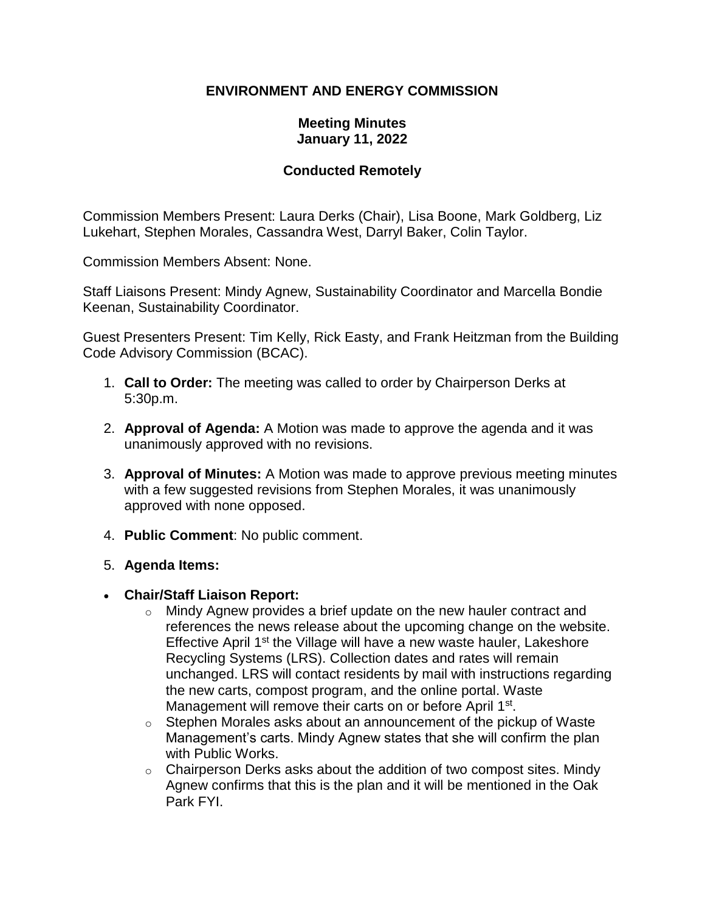### **ENVIRONMENT AND ENERGY COMMISSION**

#### **Meeting Minutes January 11, 2022**

### **Conducted Remotely**

Commission Members Present: Laura Derks (Chair), Lisa Boone, Mark Goldberg, Liz Lukehart, Stephen Morales, Cassandra West, Darryl Baker, Colin Taylor.

Commission Members Absent: None.

Staff Liaisons Present: Mindy Agnew, Sustainability Coordinator and Marcella Bondie Keenan, Sustainability Coordinator.

Guest Presenters Present: Tim Kelly, Rick Easty, and Frank Heitzman from the Building Code Advisory Commission (BCAC).

- 1. **Call to Order:** The meeting was called to order by Chairperson Derks at 5:30p.m.
- 2. **Approval of Agenda:** A Motion was made to approve the agenda and it was unanimously approved with no revisions.
- 3. **Approval of Minutes:** A Motion was made to approve previous meeting minutes with a few suggested revisions from Stephen Morales, it was unanimously approved with none opposed.
- 4. **Public Comment**: No public comment.
- 5. **Agenda Items:**
- **Chair/Staff Liaison Report:**
	- $\circ$  Mindy Agnew provides a brief update on the new hauler contract and references the news release about the upcoming change on the website. Effective April 1<sup>st</sup> the Village will have a new waste hauler, Lakeshore Recycling Systems (LRS). Collection dates and rates will remain unchanged. LRS will contact residents by mail with instructions regarding the new carts, compost program, and the online portal. Waste Management will remove their carts on or before April 1<sup>st</sup>.
	- $\circ$  Stephen Morales asks about an announcement of the pickup of Waste Management's carts. Mindy Agnew states that she will confirm the plan with Public Works.
	- $\circ$  Chairperson Derks asks about the addition of two compost sites. Mindy Agnew confirms that this is the plan and it will be mentioned in the Oak Park FYI.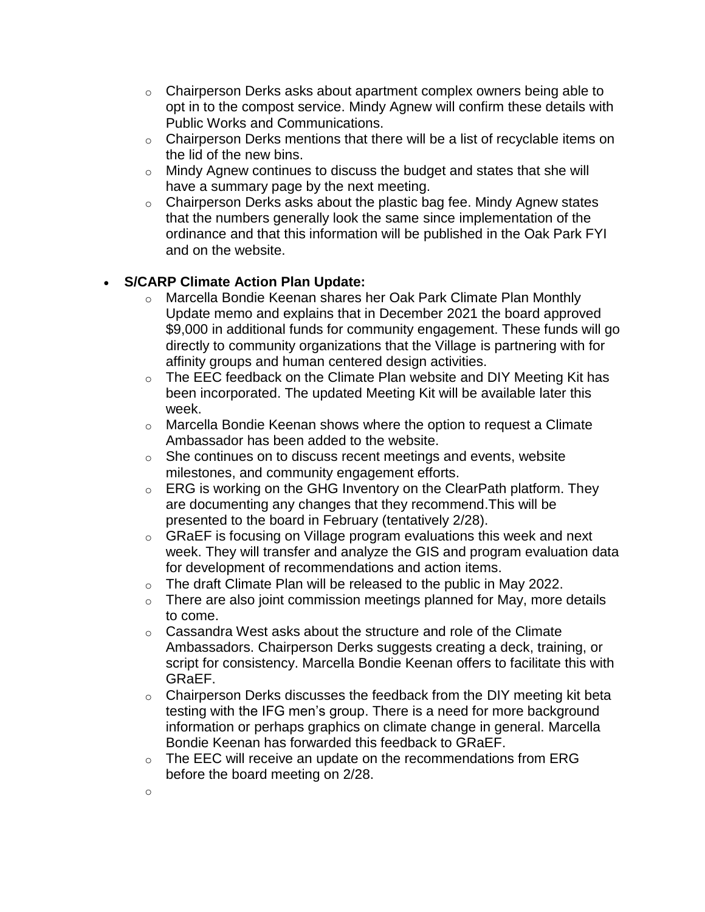- $\circ$  Chairperson Derks asks about apartment complex owners being able to opt in to the compost service. Mindy Agnew will confirm these details with Public Works and Communications.
- $\circ$  Chairperson Derks mentions that there will be a list of recyclable items on the lid of the new bins.
- o Mindy Agnew continues to discuss the budget and states that she will have a summary page by the next meeting.
- $\circ$  Chairperson Derks asks about the plastic bag fee. Mindy Agnew states that the numbers generally look the same since implementation of the ordinance and that this information will be published in the Oak Park FYI and on the website.

# • **S/CARP Climate Action Plan Update:**

- o Marcella Bondie Keenan shares her Oak Park Climate Plan Monthly Update memo and explains that in December 2021 the board approved \$9,000 in additional funds for community engagement. These funds will go directly to community organizations that the Village is partnering with for affinity groups and human centered design activities.
- $\circ$  The EEC feedback on the Climate Plan website and DIY Meeting Kit has been incorporated. The updated Meeting Kit will be available later this week.
- $\circ$  Marcella Bondie Keenan shows where the option to request a Climate Ambassador has been added to the website.
- $\circ$  She continues on to discuss recent meetings and events, website milestones, and community engagement efforts.
- $\circ$  ERG is working on the GHG Inventory on the ClearPath platform. They are documenting any changes that they recommend.This will be presented to the board in February (tentatively 2/28).
- $\circ$  GRaEF is focusing on Village program evaluations this week and next week. They will transfer and analyze the GIS and program evaluation data for development of recommendations and action items.
- $\circ$  The draft Climate Plan will be released to the public in May 2022.
- $\circ$  There are also joint commission meetings planned for May, more details to come.
- $\circ$  Cassandra West asks about the structure and role of the Climate Ambassadors. Chairperson Derks suggests creating a deck, training, or script for consistency. Marcella Bondie Keenan offers to facilitate this with GRaEF.
- $\circ$  Chairperson Derks discusses the feedback from the DIY meeting kit beta testing with the IFG men's group. There is a need for more background information or perhaps graphics on climate change in general. Marcella Bondie Keenan has forwarded this feedback to GRaEF.
- $\circ$  The EEC will receive an update on the recommendations from ERG before the board meeting on 2/28.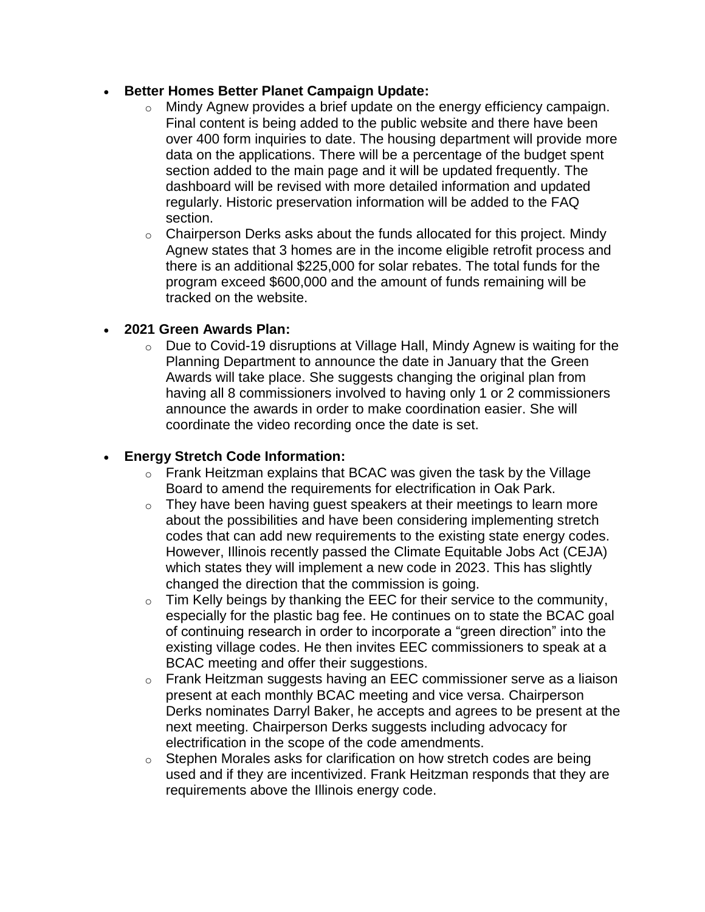#### • **Better Homes Better Planet Campaign Update:**

- o Mindy Agnew provides a brief update on the energy efficiency campaign. Final content is being added to the public website and there have been over 400 form inquiries to date. The housing department will provide more data on the applications. There will be a percentage of the budget spent section added to the main page and it will be updated frequently. The dashboard will be revised with more detailed information and updated regularly. Historic preservation information will be added to the FAQ section.
- $\circ$  Chairperson Derks asks about the funds allocated for this project. Mindy Agnew states that 3 homes are in the income eligible retrofit process and there is an additional \$225,000 for solar rebates. The total funds for the program exceed \$600,000 and the amount of funds remaining will be tracked on the website.

### • **2021 Green Awards Plan:**

o Due to Covid-19 disruptions at Village Hall, Mindy Agnew is waiting for the Planning Department to announce the date in January that the Green Awards will take place. She suggests changing the original plan from having all 8 commissioners involved to having only 1 or 2 commissioners announce the awards in order to make coordination easier. She will coordinate the video recording once the date is set.

## • **Energy Stretch Code Information:**

- $\circ$  Frank Heitzman explains that BCAC was given the task by the Village Board to amend the requirements for electrification in Oak Park.
- $\circ$  They have been having guest speakers at their meetings to learn more about the possibilities and have been considering implementing stretch codes that can add new requirements to the existing state energy codes. However, Illinois recently passed the Climate Equitable Jobs Act (CEJA) which states they will implement a new code in 2023. This has slightly changed the direction that the commission is going.
- $\circ$  Tim Kelly beings by thanking the EEC for their service to the community, especially for the plastic bag fee. He continues on to state the BCAC goal of continuing research in order to incorporate a "green direction" into the existing village codes. He then invites EEC commissioners to speak at a BCAC meeting and offer their suggestions.
- o Frank Heitzman suggests having an EEC commissioner serve as a liaison present at each monthly BCAC meeting and vice versa. Chairperson Derks nominates Darryl Baker, he accepts and agrees to be present at the next meeting. Chairperson Derks suggests including advocacy for electrification in the scope of the code amendments.
- o Stephen Morales asks for clarification on how stretch codes are being used and if they are incentivized. Frank Heitzman responds that they are requirements above the Illinois energy code.